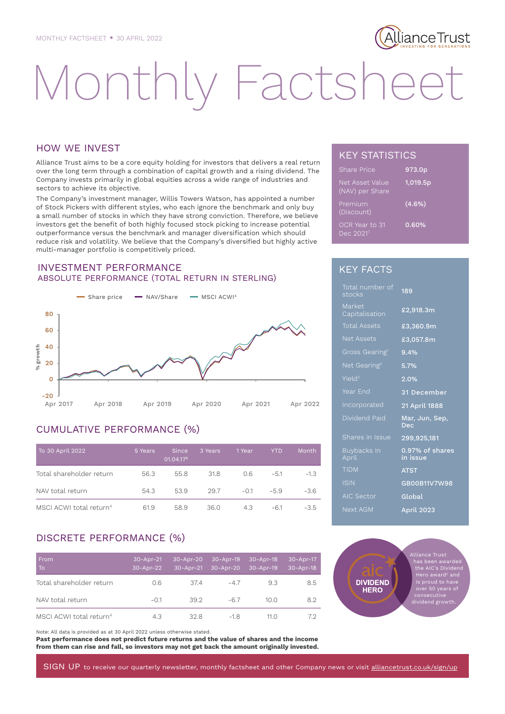## lianceTrust<u>.</u>

# Monthly Factshee

#### HOW WE INVEST

Alliance Trust aims to be a core equity holding for investors that delivers a real return over the long term through a combination of capital growth and a rising dividend. The Company invests primarily in global equities across a wide range of industries and sectors to achieve its objective.

The Company's investment manager, Willis Towers Watson, has appointed a number of Stock Pickers with different styles, who each ignore the benchmark and only buy a small number of stocks in which they have strong conviction. Therefore, we believe investors get the benefit of both highly focused stock picking to increase potential outperformance versus the benchmark and manager diversification which should reduce risk and volatility. We believe that the Company's diversified but highly active multi-manager portfolio is competitively priced.

#### INVESTMENT PERFORMANCE ABSOLUTE PERFORMANCE (TOTAL RETURN IN STERLING)



### CUMULATIVE PERFORMANCE (%)

| To 30 April 2022                    | 5 Years | Since<br>01.04.175 | 3 Years | 1 Year | <b>YTD</b> | Month  |
|-------------------------------------|---------|--------------------|---------|--------|------------|--------|
| Total shareholder return            | 56.3    | 55.8               | 31.8    | 0.6    | $-5.1$     | $-1.3$ |
| NAV total return                    | 54.3    | 53.9               | 29.7    | $-0.1$ | $-5.9$     | $-3.6$ |
| MSCI ACWI total return <sup>4</sup> | 61.9    | 58.9               | 36.0    | 4.3    | -61        | $-3.5$ |

#### DISCRETE PERFORMANCE (%)

| From<br>To                          | $30 - Apr-21$<br>30-Apr-22 | 30-Apr-20<br>30-Apr-21 | 30-Apr-19<br>30-Apr-20 | $30 - Apr-18$<br>30-Apr-19 | 30-Apr-17<br>$30 - Apr-18$ |
|-------------------------------------|----------------------------|------------------------|------------------------|----------------------------|----------------------------|
| Total shareholder return            | 0.6                        | 374                    | $-47$                  | 9.3                        | 8.5                        |
| NAV total return                    | $-0.1$                     | 39.2                   | $-6.7$                 | 10.0                       | 8.2                        |
| MSCI ACWI total return <sup>4</sup> | 4.3                        | 32.8                   | $-1.8$                 | 11.0                       | 7.2                        |

Note: All data is provided as at 30 April 2022 unless otherwise stated.

**Past performance does not predict future returns and the value of shares and the income from them can rise and fall, so investors may not get back the amount originally invested.**

#### KEY STATISTICS

| <b>Share Price</b>                 | 973.0p    |
|------------------------------------|-----------|
| Net Asset Value<br>(NAV) per Share | 1,019.5p  |
| Premium<br>(Discount)              | $(4.6\%)$ |
| OCR Year to 31<br>Dec 20217        | 0.60%     |

#### KEY FACTS

| Total number of<br>stocks  | 189                          |
|----------------------------|------------------------------|
| Market<br>Capitalisation   | £2,918.3m                    |
| <b>Total Assets</b>        | £3,360.9m                    |
| <b>Net Assets</b>          | £3,057.8m                    |
| Gross Gearing <sup>1</sup> | $9.4\%$                      |
| Net Gearing <sup>2</sup>   | 5.7%                         |
| Yield <sup>3</sup>         | 2.0%                         |
| Year End                   | 31 December                  |
| Incorporated               | 21 April 1888                |
| Dividend Paid              | Mar, Jun, Sep,<br><b>Dec</b> |
| Shares in Issue            | 299,925,181                  |
| Buybacks in<br>April       | 0.97% of shares<br>in issue  |
| <b>TIDM</b>                | <b>ATST</b>                  |
| <b>ISIN</b>                | GB00B11V7W98                 |
| <b>AIC Sector</b>          | Global                       |
| Next AGM                   | April 2023                   |

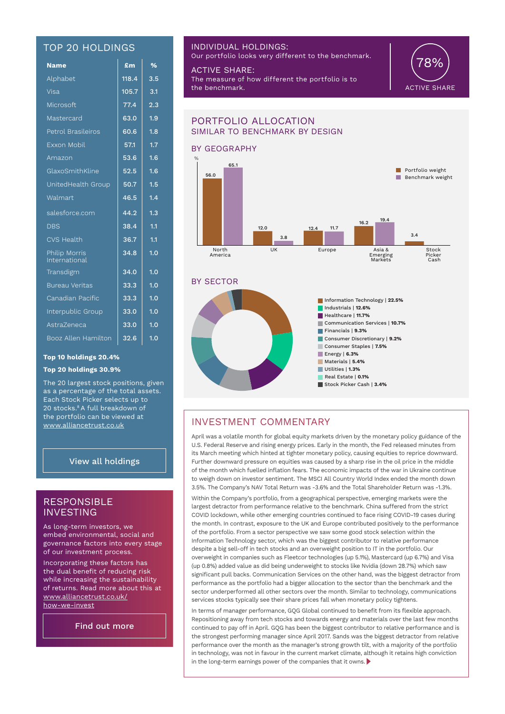#### TOP 20 HOLDINGS

| <b>Name</b>                           | £m    | $\frac{9}{6}$    |
|---------------------------------------|-------|------------------|
| Alphabet                              | 118.4 | $3.\overline{5}$ |
| Visa                                  | 105.7 | 3.1              |
| Microsoft                             | 77.4  | 2.3              |
| Mastercard                            | 63.0  | 1.9              |
| Petrol Brasileiros                    | 60.6  | 1.8              |
| Exxon Mobil                           | 57.1  | 1.7              |
| Amazon                                | 53.6  | 1.6              |
| GlaxoSmithKline                       | 52.5  | 1.6              |
| UnitedHealth Group                    | 50.7  | 1.5              |
| Walmart                               | 46.5  | 1.4              |
| salesforce.com                        | 44.2  | 1.3              |
| <b>DBS</b>                            | 38.4  | 1.1              |
| <b>CVS Health</b>                     | 36.7  | 1.1              |
| <b>Philip Morris</b><br>International | 34.8  | 1.0              |
| Transdigm                             | 34.0  | 1.0              |
| <b>Bureau Veritas</b>                 | 33.3  | 1.0              |
| Canadian Pacific                      | 33.3  | 1.0              |
| Interpublic Group                     | 33.0  | 1.0              |
| AstraZeneca                           | 33.0  | $\overline{1.0}$ |
| Booz Allen Hamilton                   | 32.6  | 1.0              |

#### **Top 10 holdings 20.4%**

#### **Top 20 holdings 30.9%**

The 20 largest stock positions, given as a percentage of the total assets. Each Stock Picker selects up to 20 stocks.8 A full breakdown of the portfolio can be viewed at www.alliancetrust.co.uk

#### View all holdings

#### RESPONSIBLE INVESTING

As long-term investors, we embed environmental, social and governance factors into every stage of our investment process.

Incorporating these factors has the dual benefit of reducing risk while increasing the sustainability of returns. Read more about this at www.alliancetrust.co.uk/ how-we-invest

Find out more

#### INDIVIDUAL HOLDINGS:

Our portfolio looks very different to the benchmark.

ACTIVE SHARE: The measure of how different the portfolio is to the benchmark.





#### INVESTMENT COMMENTARY

April was a volatile month for global equity markets driven by the monetary policy guidance of the U.S. Federal Reserve and rising energy prices. Early in the month, the Fed released minutes from its March meeting which hinted at tighter monetary policy, causing equities to reprice downward. Further downward pressure on equities was caused by a sharp rise in the oil price in the middle of the month which fuelled inflation fears. The economic impacts of the war in Ukraine continue to weigh down on investor sentiment. The MSCI All Country World Index ended the month down 3.5%. The Company's NAV Total Return was -3.6% and the Total Shareholder Return was -1.3%.

Within the Company's portfolio, from a geographical perspective, emerging markets were the largest detractor from performance relative to the benchmark. China suffered from the strict COVID lockdown, while other emerging countries continued to face rising COVID-19 cases during the month. In contrast, exposure to the UK and Europe contributed positively to the performance of the portfolio. From a sector perspective we saw some good stock selection within the Information Technology sector, which was the biggest contributor to relative performance despite a big sell-off in tech stocks and an overweight position to IT in the portfolio. Our overweight in companies such as Fleetcor technologies (up 5.1%), Mastercard (up 6.7%) and Visa (up 0.8%) added value as did being underweight to stocks like Nvidia (down 28.7%) which saw significant pull backs. Communication Services on the other hand, was the biggest detractor from performance as the portfolio had a bigger allocation to the sector than the benchmark and the sector underperformed all other sectors over the month. Similar to technology, communications services stocks typically see their share prices fall when monetary policy tightens.

In terms of manager performance, GQG Global continued to benefit from its flexible approach. Repositioning away from tech stocks and towards energy and materials over the last few months continued to pay off in April. GQG has been the biggest contributor to relative performance and is the strongest performing manager since April 2017. Sands was the biggest detractor from relative performance over the month as the manager's strong growth tilt, with a majority of the portfolio in technology, was not in favour in the current market climate, although it retains high conviction in the long-term earnings power of the companies that it owns.